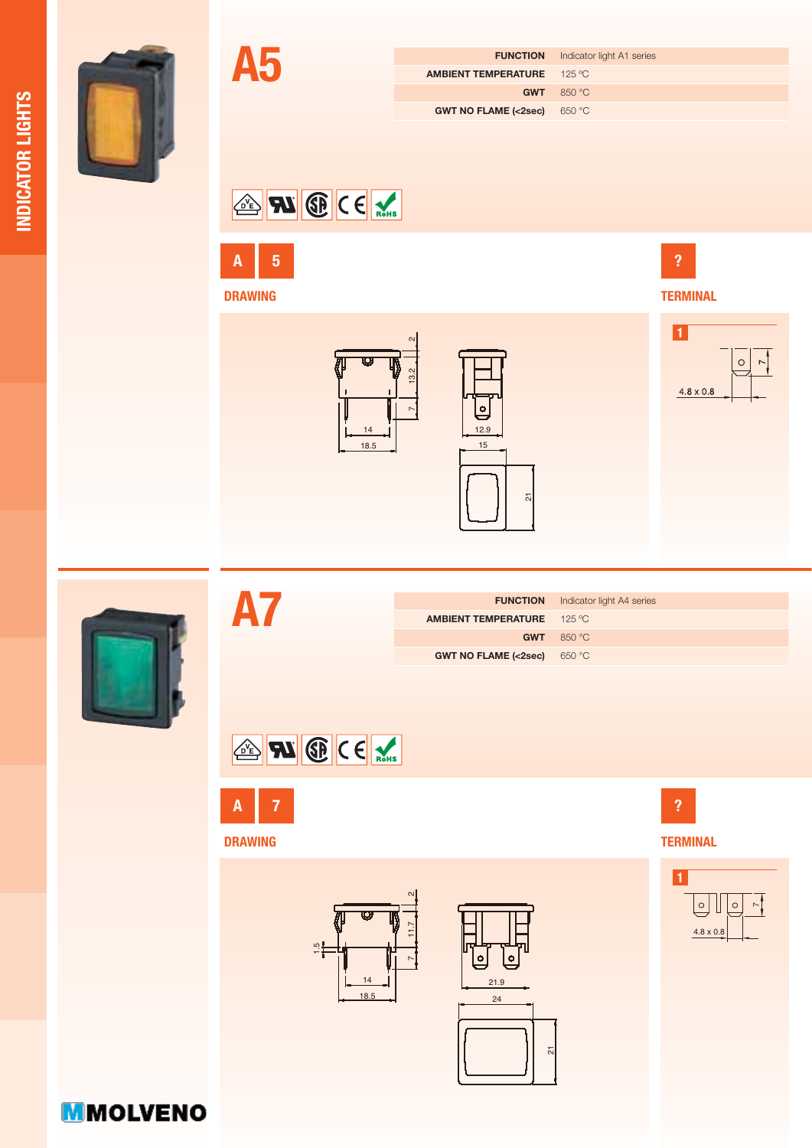

|                                   | <b>FUNCTION</b> Indicator light A1 series |  |  |
|-----------------------------------|-------------------------------------------|--|--|
| <b>AMBIENT TEMPERATURE</b> 125 °C |                                           |  |  |
|                                   | GWT 850 °C                                |  |  |
| GWT NO FLAME ( $<2$ sec) 650 °C   |                                           |  |  |
|                                   |                                           |  |  |

## SE W CE



A5



 $14$ 





**?**



**A7**

|                                   | <b>FUNCTION</b> Indicator light A4 series |  |  |
|-----------------------------------|-------------------------------------------|--|--|
| <b>AMBIENT TEMPERATURE</b> 125 °C |                                           |  |  |
|                                   | GWT 850 $\degree$ C                       |  |  |
| <b>GWT NO FLAME (&lt;2sec)</b>    | 650 °C                                    |  |  |





**DRAWING**





**TERMINAL ?**

> **1**  $\overline{ }$

> > $4.8 \times 0.8$

| <b>MMOLVENO</b> |  |  |  |
|-----------------|--|--|--|
|                 |  |  |  |